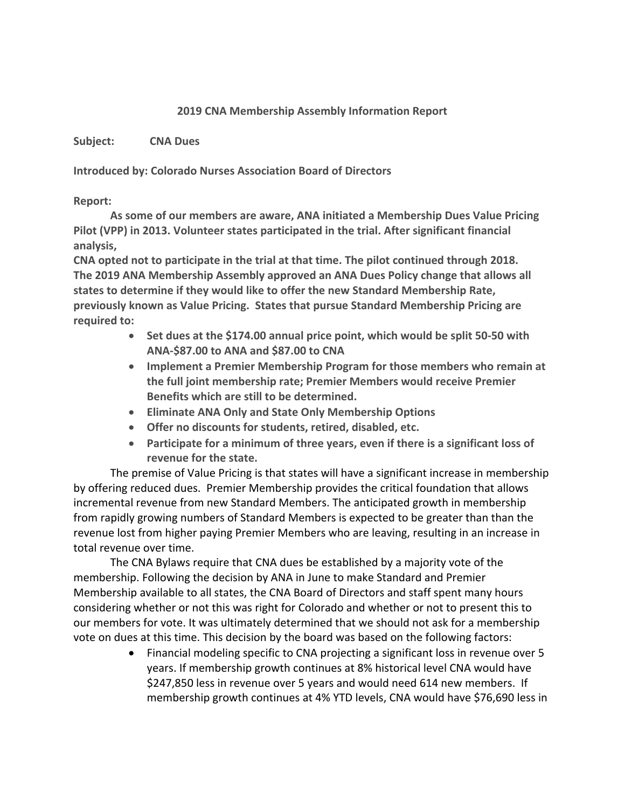## **2019 CNA Membership Assembly Information Report**

**Subject: CNA Dues**

**Introduced by: Colorado Nurses Association Board of Directors**

## **Report:**

**As some of our members are aware, ANA initiated a Membership Dues Value Pricing Pilot (VPP) in 2013. Volunteer states participated in the trial. After significant financial analysis,**

**CNA opted not to participate in the trial at that time. The pilot continued through 2018. The 2019 ANA Membership Assembly approved an ANA Dues Policy change that allows all states to determine if they would like to offer the new Standard Membership Rate, previously known as Value Pricing. States that pursue Standard Membership Pricing are required to:**

- **Set dues at the \$174.00 annual price point, which would be split 50-50 with ANA-\$87.00 to ANA and \$87.00 to CNA**
- **Implement a Premier Membership Program for those members who remain at the full joint membership rate; Premier Members would receive Premier Benefits which are still to be determined.**
- **Eliminate ANA Only and State Only Membership Options**
- **Offer no discounts for students, retired, disabled, etc.**
- **Participate for a minimum of three years, even if there is a significant loss of revenue for the state.**

The premise of Value Pricing is that states will have a significant increase in membership by offering reduced dues. Premier Membership provides the critical foundation that allows incremental revenue from new Standard Members. The anticipated growth in membership from rapidly growing numbers of Standard Members is expected to be greater than than the revenue lost from higher paying Premier Members who are leaving, resulting in an increase in total revenue over time.

The CNA Bylaws require that CNA dues be established by a majority vote of the membership. Following the decision by ANA in June to make Standard and Premier Membership available to all states, the CNA Board of Directors and staff spent many hours considering whether or not this was right for Colorado and whether or not to present this to our members for vote. It was ultimately determined that we should not ask for a membership vote on dues at this time. This decision by the board was based on the following factors:

> • Financial modeling specific to CNA projecting a significant loss in revenue over 5 years. If membership growth continues at 8% historical level CNA would have \$247,850 less in revenue over 5 years and would need 614 new members. If membership growth continues at 4% YTD levels, CNA would have \$76,690 less in